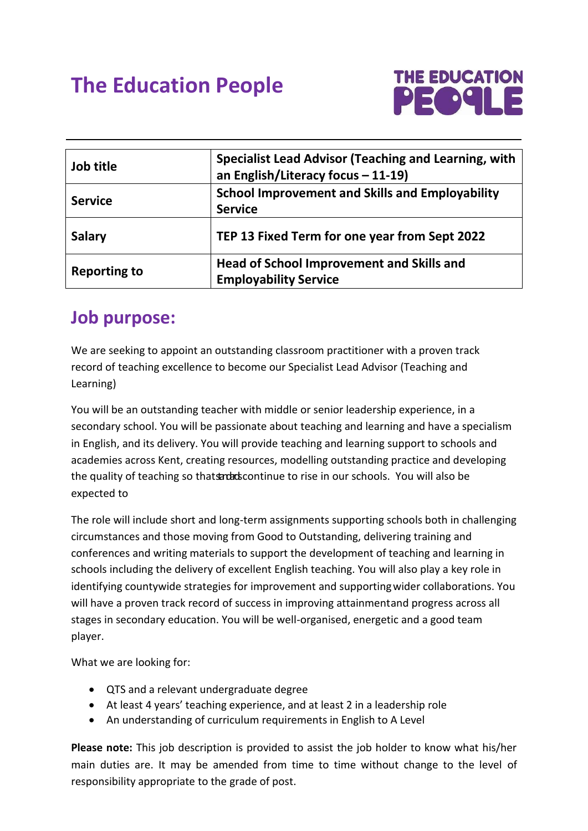# **The Education People**



| Job title           | Specialist Lead Advisor (Teaching and Learning, with<br>an English/Literacy focus - 11-19) |
|---------------------|--------------------------------------------------------------------------------------------|
| <b>Service</b>      | <b>School Improvement and Skills and Employability</b><br><b>Service</b>                   |
| <b>Salary</b>       | TEP 13 Fixed Term for one year from Sept 2022                                              |
| <b>Reporting to</b> | Head of School Improvement and Skills and<br><b>Employability Service</b>                  |

#### **Job purpose:**

We are seeking to appoint an outstanding classroom practitioner with a proven track record of teaching excellence to become our Specialist Lead Advisor (Teaching and Learning)

You will be an outstanding teacher with middle or senior leadership experience, in a secondary school. You will be passionate about teaching and learning and have a specialism in English, and its delivery. You will provide teaching and learning support to schools and academies across Kent, creating resources, modelling outstanding practice and developing the quality of teaching so thats and accontinue to rise in our schools. You will also be expected to

The role will include short and long-term assignments supporting schools both in challenging circumstances and those moving from Good to Outstanding, delivering training and conferences and writing materials to support the development of teaching and learning in schools including the delivery of excellent English teaching. You will also play a key role in identifying countywide strategies for improvement and supporting wider collaborations. You will have a proven track record of success in improving attainmentand progress across all stages in secondary education. You will be well-organised, energetic and a good team player.

What we are looking for:

- QTS and a relevant undergraduate degree
- At least 4 years' teaching experience, and at least 2 in a leadership role
- An understanding of curriculum requirements in English to A Level

**Please note:** This job description is provided to assist the job holder to know what his/her main duties are. It may be amended from time to time without change to the level of responsibility appropriate to the grade of post.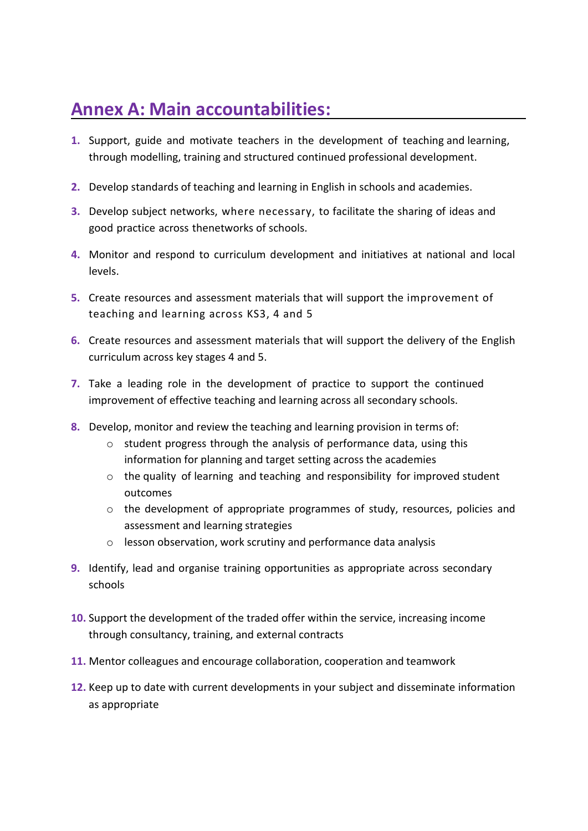### **Annex A: Main accountabilities:**

- **1.** Support, guide and motivate teachers in the development of teaching and learning, through modelling, training and structured continued professional development.
- **2.** Develop standards of teaching and learning in English in schools and academies.
- **3.** Develop subject networks, where necessary, to facilitate the sharing of ideas and good practice across thenetworks of schools.
- **4.** Monitor and respond to curriculum development and initiatives at national and local levels.
- **5.** Create resources and assessment materials that will support the improvement of teaching and learning across KS3, 4 and 5
- **6.** Create resources and assessment materials that will support the delivery of the English curriculum across key stages 4 and 5.
- **7.** Take a leading role in the development of practice to support the continued improvement of effective teaching and learning across all secondary schools.
- **8.** Develop, monitor and review the teaching and learning provision in terms of:
	- o student progress through the analysis of performance data, using this information for planning and target setting across the academies
	- $\circ$  the quality of learning and teaching and responsibility for improved student outcomes
	- $\circ$  the development of appropriate programmes of study, resources, policies and assessment and learning strategies
	- o lesson observation, work scrutiny and performance data analysis
- **9.** Identify, lead and organise training opportunities as appropriate across secondary schools
- **10.** Support the development of the traded offer within the service, increasing income through consultancy, training, and external contracts
- **11.** Mentor colleagues and encourage collaboration, cooperation and teamwork
- **12.** Keep up to date with current developments in your subject and disseminate information as appropriate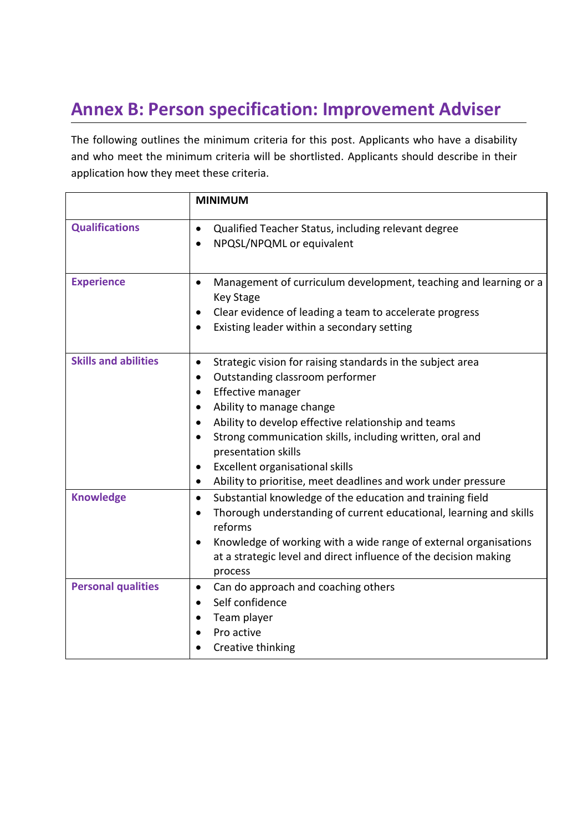## **Annex B: Person specification: Improvement Adviser**

The following outlines the minimum criteria for this post. Applicants who have a disability and who meet the minimum criteria will be shortlisted. Applicants should describe in their application how they meet these criteria.

|                             | <b>MINIMUM</b>                                                                                                                                                                                                                                                                                                                                                                                                                   |
|-----------------------------|----------------------------------------------------------------------------------------------------------------------------------------------------------------------------------------------------------------------------------------------------------------------------------------------------------------------------------------------------------------------------------------------------------------------------------|
| <b>Qualifications</b>       | Qualified Teacher Status, including relevant degree<br>$\bullet$<br>NPQSL/NPQML or equivalent                                                                                                                                                                                                                                                                                                                                    |
| <b>Experience</b>           | Management of curriculum development, teaching and learning or a<br>$\bullet$<br><b>Key Stage</b><br>Clear evidence of leading a team to accelerate progress<br>٠<br>Existing leader within a secondary setting<br>$\bullet$                                                                                                                                                                                                     |
| <b>Skills and abilities</b> | Strategic vision for raising standards in the subject area<br>$\bullet$<br>Outstanding classroom performer<br>٠<br>Effective manager<br>Ability to manage change<br>Ability to develop effective relationship and teams<br>Strong communication skills, including written, oral and<br>presentation skills<br>Excellent organisational skills<br>٠<br>Ability to prioritise, meet deadlines and work under pressure<br>$\bullet$ |
| <b>Knowledge</b>            | Substantial knowledge of the education and training field<br>$\bullet$<br>Thorough understanding of current educational, learning and skills<br>$\bullet$<br>reforms<br>Knowledge of working with a wide range of external organisations<br>$\bullet$<br>at a strategic level and direct influence of the decision making<br>process                                                                                             |
| <b>Personal qualities</b>   | Can do approach and coaching others<br>$\bullet$<br>Self confidence<br>$\bullet$<br>Team player<br>Pro active<br>Creative thinking                                                                                                                                                                                                                                                                                               |